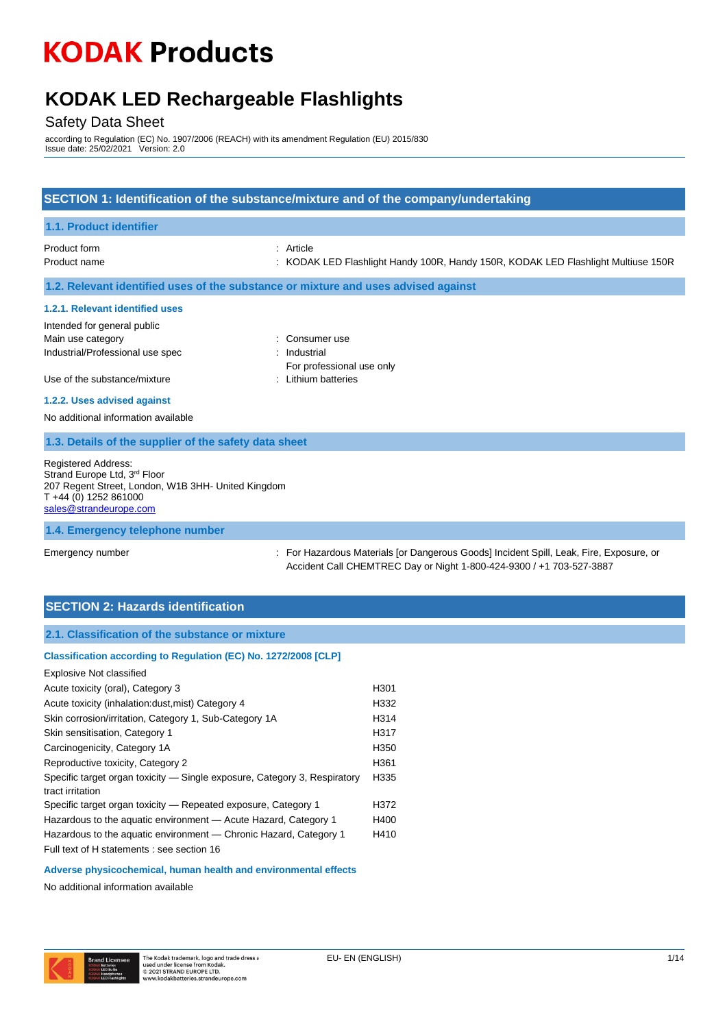### **KODAK LED Rechargeable Flashlights**

#### Safety Data Sheet

according to Regulation (EC) No. 1907/2006 (REACH) with its amendment Regulation (EU) 2015/830 Issue date: 25/02/2021 Version: 2.0

#### **SECTION 1: Identification of the substance/mixture and of the company/undertaking**

| <b>1.1. Product identifier</b>                                                                                                                                         |                                                                                                |
|------------------------------------------------------------------------------------------------------------------------------------------------------------------------|------------------------------------------------------------------------------------------------|
| Product form<br>Product name                                                                                                                                           | : Article<br>: KODAK LED Flashlight Handy 100R, Handy 150R, KODAK LED Flashlight Multiuse 150R |
|                                                                                                                                                                        | 1.2. Relevant identified uses of the substance or mixture and uses advised against             |
| 1.2.1. Relevant identified uses                                                                                                                                        |                                                                                                |
| Intended for general public                                                                                                                                            |                                                                                                |
| Main use category                                                                                                                                                      | : Consumer use                                                                                 |
| Industrial/Professional use spec                                                                                                                                       | : Industrial                                                                                   |
|                                                                                                                                                                        | For professional use only                                                                      |
| Use of the substance/mixture                                                                                                                                           | : Lithium batteries                                                                            |
| 1.2.2. Uses advised against                                                                                                                                            |                                                                                                |
| No additional information available                                                                                                                                    |                                                                                                |
| 1.3. Details of the supplier of the safety data sheet                                                                                                                  |                                                                                                |
| <b>Registered Address:</b><br>Strand Europe Ltd, 3rd Floor<br>207 Regent Street, London, W1B 3HH- United Kingdom<br>$T + 44$ (0) 1252 861000<br>sales@strandeurope.com |                                                                                                |
| 1.4. Emergency telephone number                                                                                                                                        |                                                                                                |

Emergency number : For Hazardous Materials [or Dangerous Goods] Incident Spill, Leak, Fire, Exposure, or Accident Call CHEMTREC Day or Night 1-800-424-9300 / +1 703-527-3887

#### **SECTION 2: Hazards identification**

#### **Classification according to Regulation (EC) No. 1272/2008 [CLP]**

| <b>Explosive Not classified</b>                                                               |      |
|-----------------------------------------------------------------------------------------------|------|
| Acute toxicity (oral), Category 3                                                             | H301 |
| Acute toxicity (inhalation: dust, mist) Category 4                                            | H332 |
| Skin corrosion/irritation, Category 1, Sub-Category 1A                                        | H314 |
| Skin sensitisation, Category 1                                                                | H317 |
| Carcinogenicity, Category 1A                                                                  | H350 |
| Reproductive toxicity, Category 2                                                             | H361 |
| Specific target organ toxicity — Single exposure, Category 3, Respiratory<br>tract irritation | H335 |
| Specific target organ toxicity – Repeated exposure, Category 1                                | H372 |
| Hazardous to the aquatic environment - Acute Hazard, Category 1                               | H400 |
| Hazardous to the aquatic environment — Chronic Hazard, Category 1                             | H410 |
| Full text of H statements : see section 16                                                    |      |

#### **Adverse physicochemical, human health and environmental effects**

No additional information available

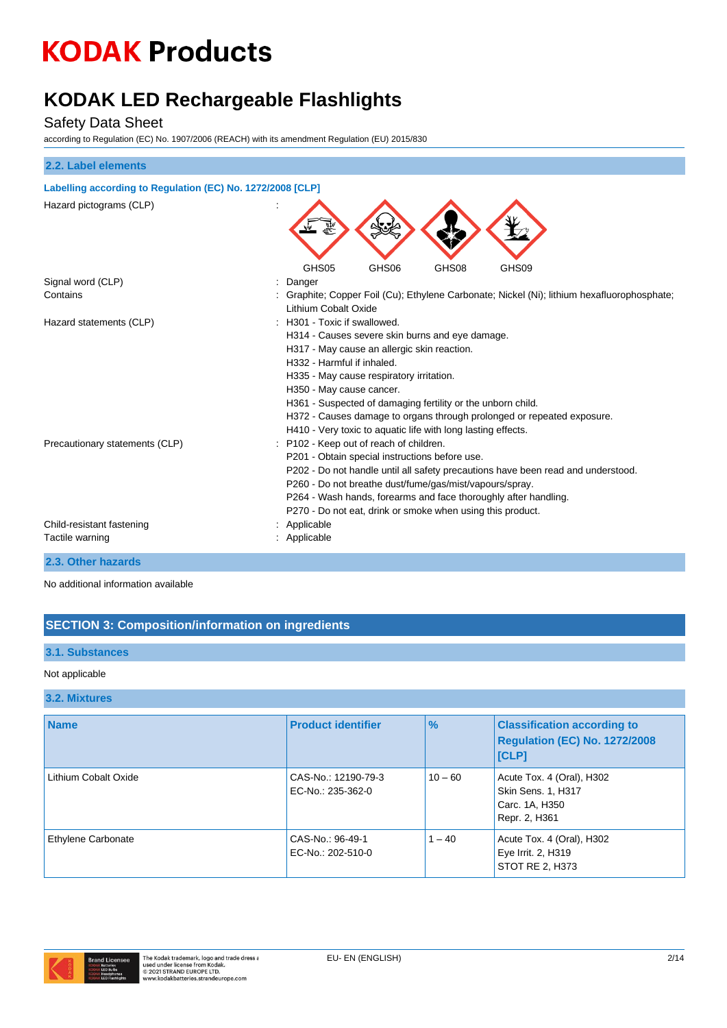### **KODAK LED Rechargeable Flashlights**

#### Safety Data Sheet

according to Regulation (EC) No. 1907/2006 (REACH) with its amendment Regulation (EU) 2015/830

| 2.2. Label elements                                        |                                                                                                                                                                                                                                                                                                                                                                                                                                               |  |  |
|------------------------------------------------------------|-----------------------------------------------------------------------------------------------------------------------------------------------------------------------------------------------------------------------------------------------------------------------------------------------------------------------------------------------------------------------------------------------------------------------------------------------|--|--|
| Labelling according to Regulation (EC) No. 1272/2008 [CLP] |                                                                                                                                                                                                                                                                                                                                                                                                                                               |  |  |
| Hazard pictograms (CLP)                                    |                                                                                                                                                                                                                                                                                                                                                                                                                                               |  |  |
|                                                            | GHS05<br>GHS06<br>GHS08<br>GHS09                                                                                                                                                                                                                                                                                                                                                                                                              |  |  |
| Signal word (CLP)                                          | Danger                                                                                                                                                                                                                                                                                                                                                                                                                                        |  |  |
| Contains                                                   | Graphite; Copper Foil (Cu); Ethylene Carbonate; Nickel (Ni); lithium hexafluorophosphate;<br>Lithium Cobalt Oxide                                                                                                                                                                                                                                                                                                                             |  |  |
| Hazard statements (CLP)                                    | : H301 - Toxic if swallowed.<br>H314 - Causes severe skin burns and eye damage.<br>H317 - May cause an allergic skin reaction.<br>H332 - Harmful if inhaled.<br>H335 - May cause respiratory irritation.<br>H350 - May cause cancer.<br>H361 - Suspected of damaging fertility or the unborn child.<br>H372 - Causes damage to organs through prolonged or repeated exposure.<br>H410 - Very toxic to aquatic life with long lasting effects. |  |  |
| Precautionary statements (CLP)                             | P102 - Keep out of reach of children.<br>P201 - Obtain special instructions before use.<br>P202 - Do not handle until all safety precautions have been read and understood.<br>P260 - Do not breathe dust/fume/gas/mist/vapours/spray.<br>P264 - Wash hands, forearms and face thoroughly after handling.<br>P270 - Do not eat, drink or smoke when using this product.                                                                       |  |  |
| Child-resistant fastening                                  | Applicable                                                                                                                                                                                                                                                                                                                                                                                                                                    |  |  |
| Tactile warning                                            | : Applicable                                                                                                                                                                                                                                                                                                                                                                                                                                  |  |  |

#### **2.3. Other hazards**

No additional information available

#### **SECTION 3: Composition/information on ingredients**

#### **3.1. Substances**

#### Not applicable

#### **3.2. Mixtures**

| <b>Name</b>               | <b>Product identifier</b>                | $\frac{1}{2}$ | <b>Classification according to</b><br><b>Regulation (EC) No. 1272/2008</b><br>[CLP] |
|---------------------------|------------------------------------------|---------------|-------------------------------------------------------------------------------------|
| Lithium Cobalt Oxide      | CAS-No.: 12190-79-3<br>EC-No.: 235-362-0 | $10 - 60$     | Acute Tox. 4 (Oral), H302<br>Skin Sens. 1, H317<br>Carc. 1A, H350<br>Repr. 2, H361  |
| <b>Ethylene Carbonate</b> | CAS-No.: 96-49-1<br>EC-No.: 202-510-0    | $1 - 40$      | Acute Tox. 4 (Oral), H302<br>Eye Irrit. 2, H319<br>STOT RE 2, H373                  |

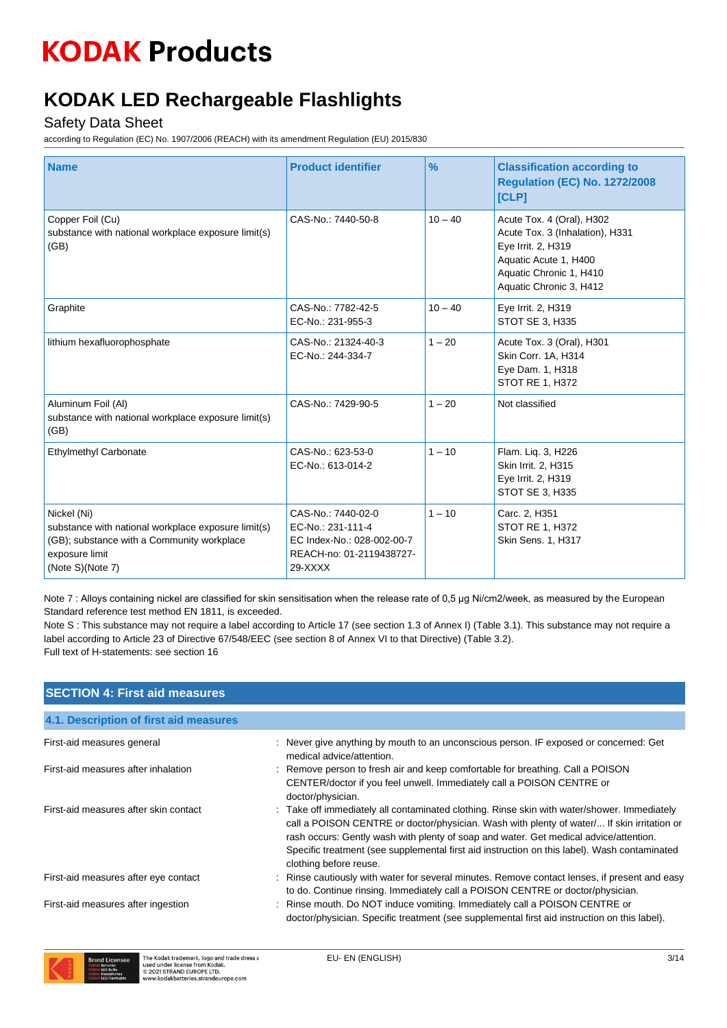### **KODAK LED Rechargeable Flashlights**

#### Safety Data Sheet

according to Regulation (EC) No. 1907/2006 (REACH) with its amendment Regulation (EU) 2015/830

| <b>Name</b>                                                                                                                                            | <b>Product identifier</b>                                                                                      | $\frac{9}{6}$ | <b>Classification according to</b><br><b>Regulation (EC) No. 1272/2008</b><br>[CLP]                                                                               |
|--------------------------------------------------------------------------------------------------------------------------------------------------------|----------------------------------------------------------------------------------------------------------------|---------------|-------------------------------------------------------------------------------------------------------------------------------------------------------------------|
| Copper Foil (Cu)<br>substance with national workplace exposure limit(s)<br>(GB)                                                                        | CAS-No.: 7440-50-8                                                                                             | $10 - 40$     | Acute Tox. 4 (Oral), H302<br>Acute Tox. 3 (Inhalation), H331<br>Eye Irrit. 2, H319<br>Aquatic Acute 1, H400<br>Aquatic Chronic 1, H410<br>Aquatic Chronic 3, H412 |
| Graphite                                                                                                                                               | CAS-No.: 7782-42-5<br>EC-No.: 231-955-3                                                                        | $10 - 40$     | Eye Irrit. 2, H319<br>STOT SE 3, H335                                                                                                                             |
| lithium hexafluorophosphate                                                                                                                            | CAS-No.: 21324-40-3<br>EC-No.: 244-334-7                                                                       | $1 - 20$      | Acute Tox. 3 (Oral), H301<br>Skin Corr. 1A, H314<br>Eye Dam. 1, H318<br><b>STOT RE 1, H372</b>                                                                    |
| Aluminum Foil (Al)<br>substance with national workplace exposure limit(s)<br>(GB)                                                                      | CAS-No.: 7429-90-5                                                                                             | $1 - 20$      | Not classified                                                                                                                                                    |
| Ethylmethyl Carbonate                                                                                                                                  | CAS-No.: 623-53-0<br>EC-No.: 613-014-2                                                                         | $1 - 10$      | Flam. Liq. 3, H226<br>Skin Irrit. 2, H315<br>Eye Irrit. 2, H319<br>STOT SE 3, H335                                                                                |
| Nickel (Ni)<br>substance with national workplace exposure limit(s)<br>(GB); substance with a Community workplace<br>exposure limit<br>(Note S)(Note 7) | CAS-No.: 7440-02-0<br>EC-No.: 231-111-4<br>EC Index-No.: 028-002-00-7<br>REACH-no: 01-2119438727-<br>$29-XXXX$ | $1 - 10$      | Carc. 2, H351<br><b>STOT RE 1, H372</b><br>Skin Sens. 1, H317                                                                                                     |

Note 7 : Alloys containing nickel are classified for skin sensitisation when the release rate of 0,5 μg Ni/cm2/week, as measured by the European Standard reference test method EN 1811, is exceeded.

Note S : This substance may not require a label according to Article 17 (see section 1.3 of Annex I) (Table 3.1). This substance may not require a label according to Article 23 of Directive 67/548/EEC (see section 8 of Annex VI to that Directive) (Table 3.2). Full text of H-statements: see section 16

| <b>SECTION 4: First aid measures</b>   |                                                                                                                                                                                                                                                                                                                                                                                                              |
|----------------------------------------|--------------------------------------------------------------------------------------------------------------------------------------------------------------------------------------------------------------------------------------------------------------------------------------------------------------------------------------------------------------------------------------------------------------|
| 4.1. Description of first aid measures |                                                                                                                                                                                                                                                                                                                                                                                                              |
| First-aid measures general             | : Never give anything by mouth to an unconscious person. IF exposed or concerned: Get<br>medical advice/attention.                                                                                                                                                                                                                                                                                           |
| First-aid measures after inhalation    | : Remove person to fresh air and keep comfortable for breathing. Call a POISON<br>CENTER/doctor if you feel unwell. Immediately call a POISON CENTRE or<br>doctor/physician.                                                                                                                                                                                                                                 |
| First-aid measures after skin contact  | : Take off immediately all contaminated clothing. Rinse skin with water/shower. Immediately<br>call a POISON CENTRE or doctor/physician. Wash with plenty of water/ If skin irritation or<br>rash occurs: Gently wash with plenty of soap and water. Get medical advice/attention.<br>Specific treatment (see supplemental first aid instruction on this label). Wash contaminated<br>clothing before reuse. |
| First-aid measures after eye contact   | : Rinse cautiously with water for several minutes. Remove contact lenses, if present and easy<br>to do. Continue rinsing. Immediately call a POISON CENTRE or doctor/physician.                                                                                                                                                                                                                              |
| First-aid measures after ingestion     | : Rinse mouth. Do NOT induce vomiting. Immediately call a POISON CENTRE or<br>doctor/physician. Specific treatment (see supplemental first aid instruction on this label).                                                                                                                                                                                                                                   |

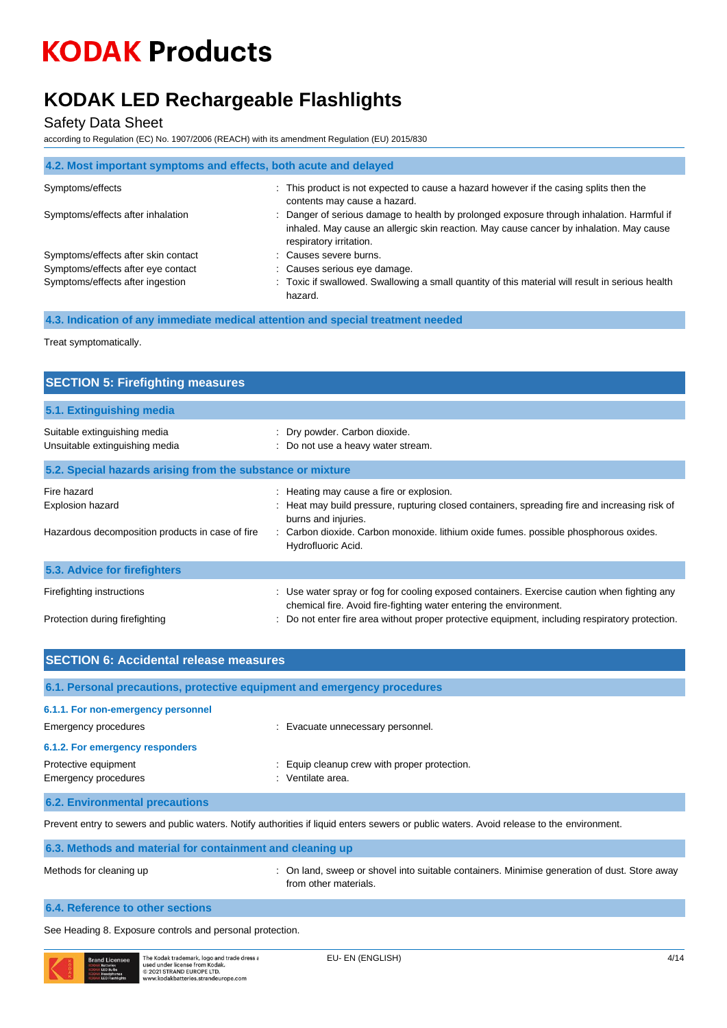## **KODAK LED Rechargeable Flashlights**

#### Safety Data Sheet

according to Regulation (EC) No. 1907/2006 (REACH) with its amendment Regulation (EU) 2015/830

| 4.2. Most important symptoms and effects, both acute and delayed |                                                                                                                                                                                                               |
|------------------------------------------------------------------|---------------------------------------------------------------------------------------------------------------------------------------------------------------------------------------------------------------|
| Symptoms/effects                                                 | : This product is not expected to cause a hazard however if the casing splits then the<br>contents may cause a hazard.                                                                                        |
| Symptoms/effects after inhalation                                | Danger of serious damage to health by prolonged exposure through inhalation. Harmful if<br>inhaled. May cause an allergic skin reaction. May cause cancer by inhalation. May cause<br>respiratory irritation. |
| Symptoms/effects after skin contact                              | : Causes severe burns.                                                                                                                                                                                        |
| Symptoms/effects after eye contact                               | : Causes serious eye damage.                                                                                                                                                                                  |
| Symptoms/effects after ingestion                                 | : Toxic if swallowed. Swallowing a small quantity of this material will result in serious health<br>hazard.                                                                                                   |

**4.3. Indication of any immediate medical attention and special treatment needed**

Treat symptomatically.

| <b>SECTION 5: Firefighting measures</b>                                             |                                                                                                                                                                                                                                                                                |  |  |
|-------------------------------------------------------------------------------------|--------------------------------------------------------------------------------------------------------------------------------------------------------------------------------------------------------------------------------------------------------------------------------|--|--|
| 5.1. Extinguishing media                                                            |                                                                                                                                                                                                                                                                                |  |  |
| Suitable extinguishing media<br>Unsuitable extinguishing media                      | : Dry powder. Carbon dioxide.<br>: Do not use a heavy water stream.                                                                                                                                                                                                            |  |  |
| 5.2. Special hazards arising from the substance or mixture                          |                                                                                                                                                                                                                                                                                |  |  |
| Fire hazard<br>Explosion hazard<br>Hazardous decomposition products in case of fire | : Heating may cause a fire or explosion.<br>: Heat may build pressure, rupturing closed containers, spreading fire and increasing risk of<br>burns and injuries.<br>: Carbon dioxide. Carbon monoxide. lithium oxide fumes. possible phosphorous oxides.<br>Hydrofluoric Acid. |  |  |
| 5.3. Advice for firefighters                                                        |                                                                                                                                                                                                                                                                                |  |  |
| Firefighting instructions<br>Protection during firefighting                         | : Use water spray or fog for cooling exposed containers. Exercise caution when fighting any<br>chemical fire. Avoid fire-fighting water entering the environment.<br>Do not enter fire area without proper protective equipment, including respiratory protection.             |  |  |

| <b>SECTION 6: Accidental release measures</b>                                                                                             |                                                                     |  |
|-------------------------------------------------------------------------------------------------------------------------------------------|---------------------------------------------------------------------|--|
| 6.1. Personal precautions, protective equipment and emergency procedures                                                                  |                                                                     |  |
| 6.1.1. For non-emergency personnel<br>Emergency procedures                                                                                | : Evacuate unnecessary personnel.                                   |  |
| 6.1.2. For emergency responders<br>Protective equipment<br>Emergency procedures                                                           | Equip cleanup crew with proper protection.<br>Ventilate area.<br>٠. |  |
| <b>6.2. Environmental precautions</b>                                                                                                     |                                                                     |  |
| Prevent entry to sewers and public waters. Notify authorities if liquid enters sewers or public waters. Avoid release to the environment. |                                                                     |  |

| 6.3. Methods and material for containment and cleaning up |                                                                                                                       |
|-----------------------------------------------------------|-----------------------------------------------------------------------------------------------------------------------|
| Methods for cleaning up                                   | : On land, sweep or shovel into suitable containers. Minimise generation of dust. Store away<br>from other materials. |
| 6.4. Reference to other sections                          |                                                                                                                       |

See Heading 8. Exposure controls and personal protection.

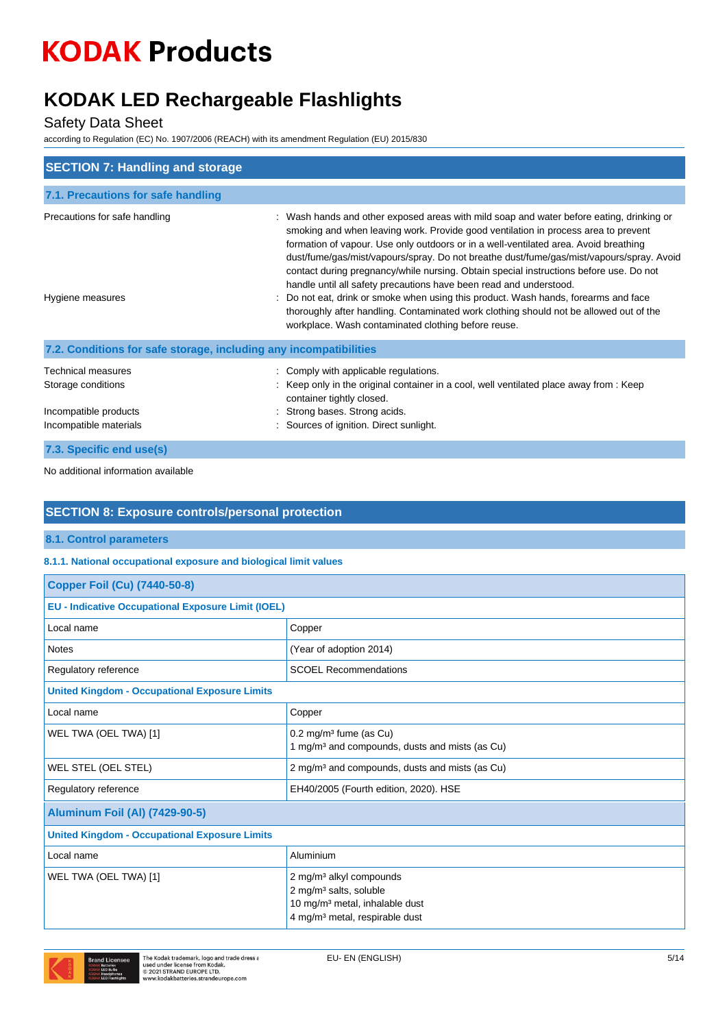### **KODAK LED Rechargeable Flashlights**

#### Safety Data Sheet

according to Regulation (EC) No. 1907/2006 (REACH) with its amendment Regulation (EU) 2015/830

| <b>SECTION 7: Handling and storage</b>                                                      |                                                                                                                                                                                                                                                                                                                                                                                                                                                                                                                                                                                                                                                                                                                                                                          |
|---------------------------------------------------------------------------------------------|--------------------------------------------------------------------------------------------------------------------------------------------------------------------------------------------------------------------------------------------------------------------------------------------------------------------------------------------------------------------------------------------------------------------------------------------------------------------------------------------------------------------------------------------------------------------------------------------------------------------------------------------------------------------------------------------------------------------------------------------------------------------------|
| 7.1. Precautions for safe handling                                                          |                                                                                                                                                                                                                                                                                                                                                                                                                                                                                                                                                                                                                                                                                                                                                                          |
| Precautions for safe handling<br>Hygiene measures                                           | : Wash hands and other exposed areas with mild soap and water before eating, drinking or<br>smoking and when leaving work. Provide good ventilation in process area to prevent<br>formation of vapour. Use only outdoors or in a well-ventilated area. Avoid breathing<br>dust/fume/gas/mist/vapours/spray. Do not breathe dust/fume/gas/mist/vapours/spray. Avoid<br>contact during pregnancy/while nursing. Obtain special instructions before use. Do not<br>handle until all safety precautions have been read and understood.<br>Do not eat, drink or smoke when using this product. Wash hands, forearms and face<br>thoroughly after handling. Contaminated work clothing should not be allowed out of the<br>workplace. Wash contaminated clothing before reuse. |
| 7.2. Conditions for safe storage, including any incompatibilities                           |                                                                                                                                                                                                                                                                                                                                                                                                                                                                                                                                                                                                                                                                                                                                                                          |
| Technical measures<br>Storage conditions<br>Incompatible products<br>Incompatible materials | Comply with applicable regulations.<br>Keep only in the original container in a cool, well ventilated place away from : Keep<br>container tightly closed.<br>Strong bases. Strong acids.<br>: Sources of ignition. Direct sunlight.                                                                                                                                                                                                                                                                                                                                                                                                                                                                                                                                      |
| 7.3. Specific end use(s)                                                                    |                                                                                                                                                                                                                                                                                                                                                                                                                                                                                                                                                                                                                                                                                                                                                                          |

No additional information available

#### **SECTION 8: Exposure controls/personal protection**

#### **8.1. Control parameters**

#### **8.1.1. National occupational exposure and biological limit values**

| <b>Copper Foil (Cu) (7440-50-8)</b>                       |                                                                                                                                                                       |
|-----------------------------------------------------------|-----------------------------------------------------------------------------------------------------------------------------------------------------------------------|
| <b>EU - Indicative Occupational Exposure Limit (IOEL)</b> |                                                                                                                                                                       |
| Local name                                                | Copper                                                                                                                                                                |
| <b>Notes</b>                                              | (Year of adoption 2014)                                                                                                                                               |
| Regulatory reference                                      | <b>SCOEL Recommendations</b>                                                                                                                                          |
| <b>United Kingdom - Occupational Exposure Limits</b>      |                                                                                                                                                                       |
| Local name                                                | Copper                                                                                                                                                                |
| WEL TWA (OEL TWA) [1]                                     | 0.2 mg/m <sup>3</sup> fume (as Cu)<br>1 mg/m <sup>3</sup> and compounds, dusts and mists (as Cu)                                                                      |
| WEL STEL (OEL STEL)                                       | 2 mg/m <sup>3</sup> and compounds, dusts and mists (as Cu)                                                                                                            |
| Regulatory reference                                      | EH40/2005 (Fourth edition, 2020). HSE                                                                                                                                 |
| <b>Aluminum Foil (Al) (7429-90-5)</b>                     |                                                                                                                                                                       |
| <b>United Kingdom - Occupational Exposure Limits</b>      |                                                                                                                                                                       |
| Local name                                                | Aluminium                                                                                                                                                             |
| WEL TWA (OEL TWA) [1]                                     | 2 mg/m <sup>3</sup> alkyl compounds<br>2 mg/m <sup>3</sup> salts, soluble<br>10 mg/m <sup>3</sup> metal, inhalable dust<br>4 mg/m <sup>3</sup> metal, respirable dust |

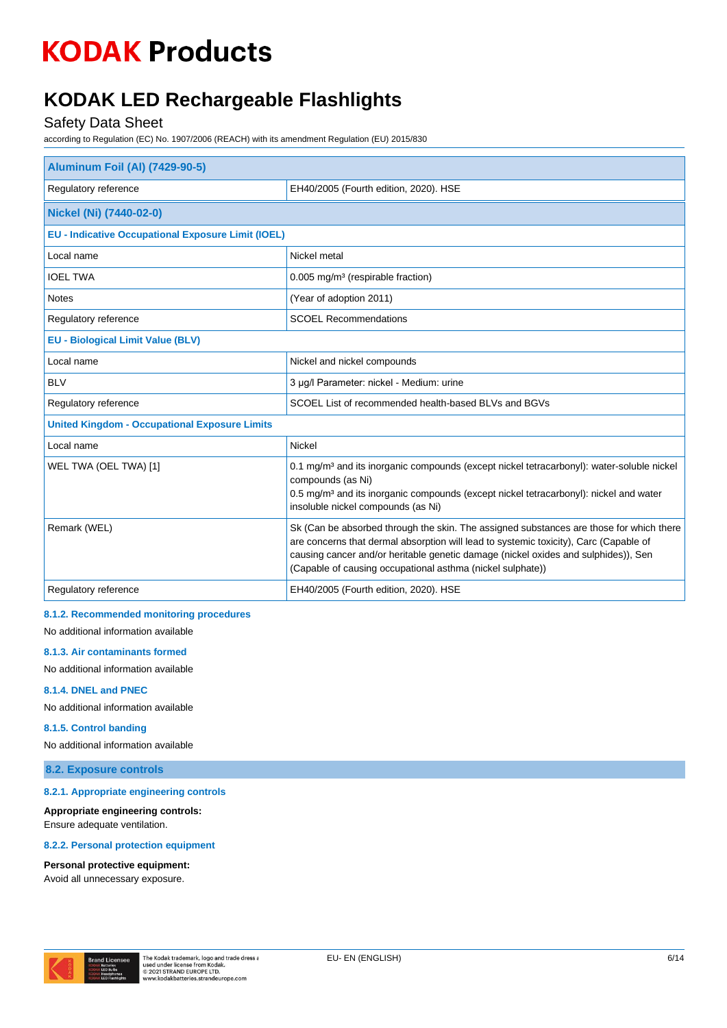### **KODAK LED Rechargeable Flashlights**

#### Safety Data Sheet

according to Regulation (EC) No. 1907/2006 (REACH) with its amendment Regulation (EU) 2015/830

| <b>Aluminum Foil (Al) (7429-90-5)</b>                     |                                                                                                                                                                                                                                                                                                                                      |  |
|-----------------------------------------------------------|--------------------------------------------------------------------------------------------------------------------------------------------------------------------------------------------------------------------------------------------------------------------------------------------------------------------------------------|--|
| Regulatory reference                                      | EH40/2005 (Fourth edition, 2020). HSE                                                                                                                                                                                                                                                                                                |  |
| Nickel (Ni) (7440-02-0)                                   |                                                                                                                                                                                                                                                                                                                                      |  |
| <b>EU - Indicative Occupational Exposure Limit (IOEL)</b> |                                                                                                                                                                                                                                                                                                                                      |  |
| Local name                                                | Nickel metal                                                                                                                                                                                                                                                                                                                         |  |
| <b>IOEL TWA</b>                                           | 0.005 mg/m <sup>3</sup> (respirable fraction)                                                                                                                                                                                                                                                                                        |  |
| <b>Notes</b>                                              | (Year of adoption 2011)                                                                                                                                                                                                                                                                                                              |  |
| Regulatory reference                                      | <b>SCOEL Recommendations</b>                                                                                                                                                                                                                                                                                                         |  |
| <b>EU - Biological Limit Value (BLV)</b>                  |                                                                                                                                                                                                                                                                                                                                      |  |
| Local name                                                | Nickel and nickel compounds                                                                                                                                                                                                                                                                                                          |  |
| <b>BLV</b>                                                | 3 µg/l Parameter: nickel - Medium: urine                                                                                                                                                                                                                                                                                             |  |
| Regulatory reference                                      | SCOEL List of recommended health-based BLVs and BGVs                                                                                                                                                                                                                                                                                 |  |
| <b>United Kingdom - Occupational Exposure Limits</b>      |                                                                                                                                                                                                                                                                                                                                      |  |
| Local name                                                | Nickel                                                                                                                                                                                                                                                                                                                               |  |
| WEL TWA (OEL TWA) [1]                                     | 0.1 mg/m <sup>3</sup> and its inorganic compounds (except nickel tetracarbonyl): water-soluble nickel<br>compounds (as Ni)<br>0.5 mg/m <sup>3</sup> and its inorganic compounds (except nickel tetracarbonyl): nickel and water<br>insoluble nickel compounds (as Ni)                                                                |  |
| Remark (WEL)                                              | Sk (Can be absorbed through the skin. The assigned substances are those for which there<br>are concerns that dermal absorption will lead to systemic toxicity), Carc (Capable of<br>causing cancer and/or heritable genetic damage (nickel oxides and sulphides)), Sen<br>(Capable of causing occupational asthma (nickel sulphate)) |  |
| Regulatory reference                                      | EH40/2005 (Fourth edition, 2020). HSE                                                                                                                                                                                                                                                                                                |  |

#### **8.1.2. Recommended monitoring procedures**

No additional information available

#### **8.1.3. Air contaminants formed**

No additional information available

#### **8.1.4. DNEL and PNEC**

No additional information available

#### **8.1.5. Control banding**

No additional information available

#### **8.2. Exposure controls**

#### **8.2.1. Appropriate engineering controls**

**Appropriate engineering controls:** Ensure adequate ventilation.

#### **8.2.2. Personal protection equipment**

#### **Personal protective equipment:**

Avoid all unnecessary exposure.

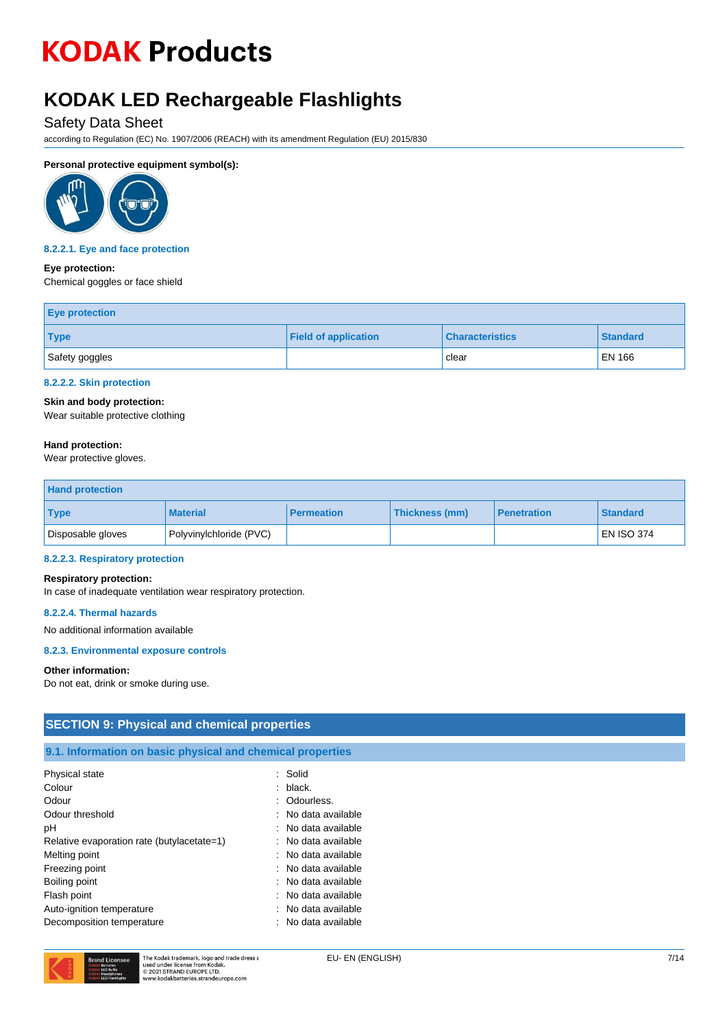### **KODAK LED Rechargeable Flashlights**

#### Safety Data Sheet

according to Regulation (EC) No. 1907/2006 (REACH) with its amendment Regulation (EU) 2015/830

#### **Personal protective equipment symbol(s):**



#### **8.2.2.1. Eye and face protection**

#### **Eye protection:**

Chemical goggles or face shield

| <b>Eye protection</b> |                             |                        |                 |
|-----------------------|-----------------------------|------------------------|-----------------|
| <b>Type</b>           | <b>Field of application</b> | <b>Characteristics</b> | <b>Standard</b> |
| Safety goggles        |                             | clear                  | <b>EN 166</b>   |

#### **8.2.2.2. Skin protection**

#### **Skin and body protection:**

Wear suitable protective clothing

#### **Hand protection:**

Wear protective gloves.

| <b>Hand protection</b> |                         |                   |                |                    |                   |
|------------------------|-------------------------|-------------------|----------------|--------------------|-------------------|
| <b>Type</b>            | <b>Material</b>         | <b>Permeation</b> | Thickness (mm) | <b>Penetration</b> | <b>Standard</b>   |
| Disposable gloves      | Polyvinylchloride (PVC) |                   |                |                    | <b>EN ISO 374</b> |

#### **8.2.2.3. Respiratory protection**

#### **Respiratory protection:**

In case of inadequate ventilation wear respiratory protection.

#### **8.2.2.4. Thermal hazards**

No additional information available

#### **8.2.3. Environmental exposure controls**

#### **Other information:**

Do not eat, drink or smoke during use.

#### **SECTION 9: Physical and chemical properties**

#### **9.1. Information on basic physical and chemical properties**

| Physical state                             | Solid               |
|--------------------------------------------|---------------------|
| Colour                                     | black.              |
| Odour                                      | : Odourless.        |
| Odour threshold                            | No data available   |
| рH                                         | No data available   |
| Relative evaporation rate (butylacetate=1) | : No data available |
| Melting point                              | No data available   |
| Freezing point                             | No data available   |
| Boiling point                              | No data available   |
| Flash point                                | : No data available |
| Auto-ignition temperature                  | No data available   |
| Decomposition temperature                  | No data available   |

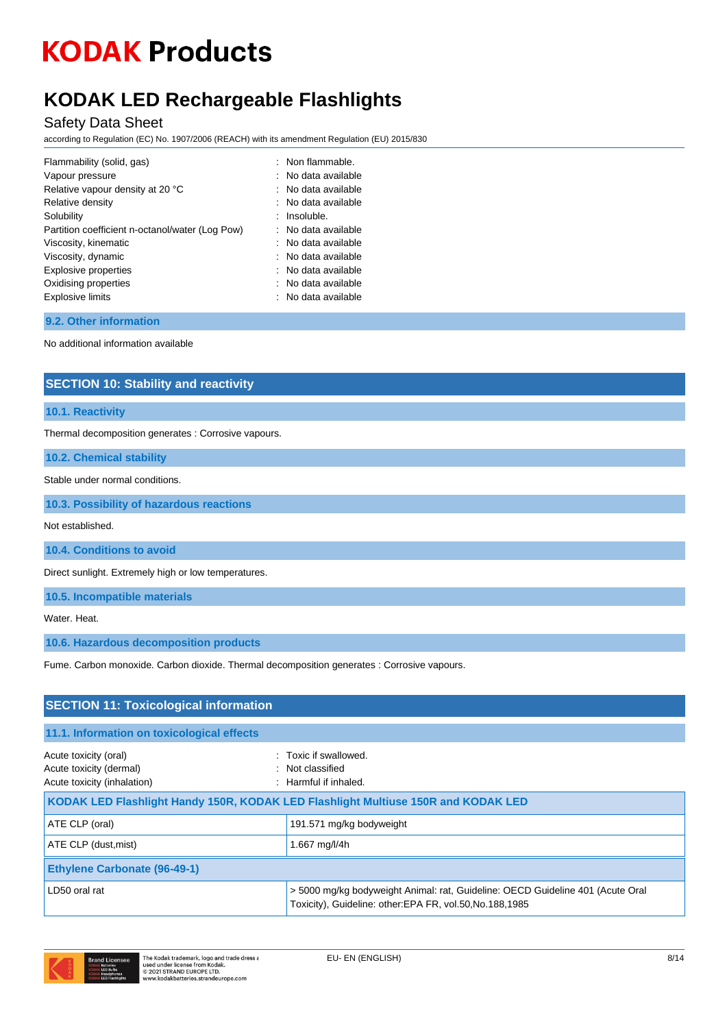### **KODAK LED Rechargeable Flashlights**

#### Safety Data Sheet

according to Regulation (EC) No. 1907/2006 (REACH) with its amendment Regulation (EU) 2015/830

| Flammability (solid, gas)                       | : Non flammable.               |
|-------------------------------------------------|--------------------------------|
| Vapour pressure                                 | : No data available            |
| Relative vapour density at 20 °C                | No data available              |
| Relative density                                | : No data available            |
| Solubility                                      | Insoluble.                     |
| Partition coefficient n-octanol/water (Log Pow) | $\therefore$ No data available |
| Viscosity, kinematic                            | $:$ No data available          |
| Viscosity, dynamic                              | : No data available            |
| <b>Explosive properties</b>                     | : No data available            |
| Oxidising properties                            | $:$ No data available          |
| <b>Explosive limits</b>                         | $:$ No data available          |
|                                                 |                                |

#### **9.2. Other information**

No additional information available

#### **SECTION 10: Stability and reactivity**

#### **10.1. Reactivity**

Thermal decomposition generates : Corrosive vapours.

**10.2. Chemical stability**

Stable under normal conditions.

**10.3. Possibility of hazardous reactions**

Not established.

**10.4. Conditions to avoid**

Direct sunlight. Extremely high or low temperatures.

**10.5. Incompatible materials**

Water. Heat.

**10.6. Hazardous decomposition products**

Fume. Carbon monoxide. Carbon dioxide. Thermal decomposition generates : Corrosive vapours.

| <b>SECTION 11: Toxicological information</b>                                    |                                                                                                                                             |  |
|---------------------------------------------------------------------------------|---------------------------------------------------------------------------------------------------------------------------------------------|--|
| 11.1. Information on toxicological effects                                      |                                                                                                                                             |  |
| Acute toxicity (oral)<br>Acute toxicity (dermal)<br>Acute toxicity (inhalation) | : Toxic if swallowed.<br>: Not classified<br>: Harmful if inhaled.                                                                          |  |
|                                                                                 | KODAK LED Flashlight Handy 150R, KODAK LED Flashlight Multiuse 150R and KODAK LED                                                           |  |
| ATE CLP (oral)                                                                  | 191.571 mg/kg bodyweight                                                                                                                    |  |
| ATE CLP (dust, mist)                                                            | 1.667 mg/l/4h                                                                                                                               |  |
| <b>Ethylene Carbonate (96-49-1)</b>                                             |                                                                                                                                             |  |
| LD50 oral rat                                                                   | > 5000 mg/kg bodyweight Animal: rat, Guideline: OECD Guideline 401 (Acute Oral<br>Toxicity), Guideline: other: EPA FR, vol.50, No.188, 1985 |  |

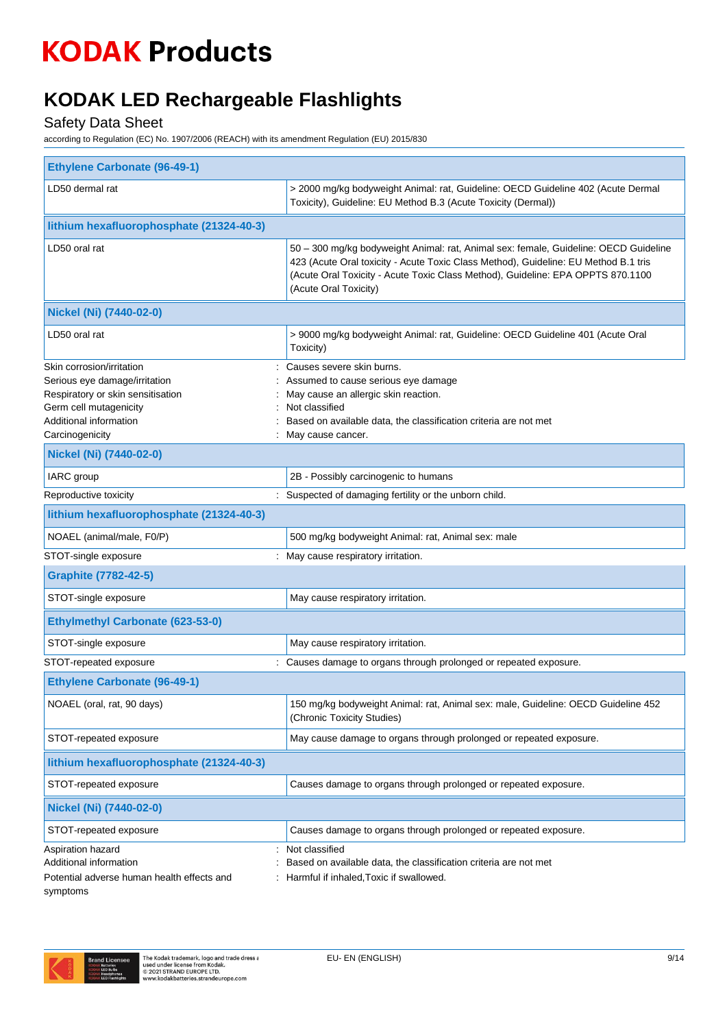### **KODAK LED Rechargeable Flashlights**

### Safety Data Sheet

according to Regulation (EC) No. 1907/2006 (REACH) with its amendment Regulation (EU) 2015/830

| <b>Ethylene Carbonate (96-49-1)</b>                                                                                                                                    |                                                                                                                                                                                                                                                                                         |
|------------------------------------------------------------------------------------------------------------------------------------------------------------------------|-----------------------------------------------------------------------------------------------------------------------------------------------------------------------------------------------------------------------------------------------------------------------------------------|
| LD50 dermal rat                                                                                                                                                        | > 2000 mg/kg bodyweight Animal: rat, Guideline: OECD Guideline 402 (Acute Dermal<br>Toxicity), Guideline: EU Method B.3 (Acute Toxicity (Dermal))                                                                                                                                       |
| lithium hexafluorophosphate (21324-40-3)                                                                                                                               |                                                                                                                                                                                                                                                                                         |
| LD50 oral rat                                                                                                                                                          | 50 - 300 mg/kg bodyweight Animal: rat, Animal sex: female, Guideline: OECD Guideline<br>423 (Acute Oral toxicity - Acute Toxic Class Method), Guideline: EU Method B.1 tris<br>(Acute Oral Toxicity - Acute Toxic Class Method), Guideline: EPA OPPTS 870.1100<br>(Acute Oral Toxicity) |
| Nickel (Ni) (7440-02-0)                                                                                                                                                |                                                                                                                                                                                                                                                                                         |
| LD50 oral rat                                                                                                                                                          | > 9000 mg/kg bodyweight Animal: rat, Guideline: OECD Guideline 401 (Acute Oral<br>Toxicity)                                                                                                                                                                                             |
| Skin corrosion/irritation<br>Serious eye damage/irritation<br>Respiratory or skin sensitisation<br>Germ cell mutagenicity<br>Additional information<br>Carcinogenicity | Causes severe skin burns.<br>Assumed to cause serious eye damage<br>May cause an allergic skin reaction.<br>Not classified<br>Based on available data, the classification criteria are not met<br>: May cause cancer.                                                                   |
| Nickel (Ni) (7440-02-0)                                                                                                                                                |                                                                                                                                                                                                                                                                                         |
| IARC group                                                                                                                                                             | 2B - Possibly carcinogenic to humans                                                                                                                                                                                                                                                    |
| Reproductive toxicity                                                                                                                                                  | : Suspected of damaging fertility or the unborn child.                                                                                                                                                                                                                                  |
| lithium hexafluorophosphate (21324-40-3)                                                                                                                               |                                                                                                                                                                                                                                                                                         |
| NOAEL (animal/male, F0/P)                                                                                                                                              | 500 mg/kg bodyweight Animal: rat, Animal sex: male                                                                                                                                                                                                                                      |
| STOT-single exposure                                                                                                                                                   | : May cause respiratory irritation.                                                                                                                                                                                                                                                     |
| <b>Graphite (7782-42-5)</b>                                                                                                                                            |                                                                                                                                                                                                                                                                                         |
| STOT-single exposure                                                                                                                                                   | May cause respiratory irritation.                                                                                                                                                                                                                                                       |
| <b>Ethylmethyl Carbonate (623-53-0)</b>                                                                                                                                |                                                                                                                                                                                                                                                                                         |
| STOT-single exposure                                                                                                                                                   | May cause respiratory irritation.                                                                                                                                                                                                                                                       |
| STOT-repeated exposure                                                                                                                                                 | : Causes damage to organs through prolonged or repeated exposure.                                                                                                                                                                                                                       |
| <b>Ethylene Carbonate (96-49-1)</b>                                                                                                                                    |                                                                                                                                                                                                                                                                                         |
| NOAEL (oral, rat, 90 days)                                                                                                                                             | 150 mg/kg bodyweight Animal: rat, Animal sex: male, Guideline: OECD Guideline 452<br>(Chronic Toxicity Studies)                                                                                                                                                                         |
| STOT-repeated exposure                                                                                                                                                 | May cause damage to organs through prolonged or repeated exposure.                                                                                                                                                                                                                      |
| lithium hexafluorophosphate (21324-40-3)                                                                                                                               |                                                                                                                                                                                                                                                                                         |
| STOT-repeated exposure                                                                                                                                                 | Causes damage to organs through prolonged or repeated exposure.                                                                                                                                                                                                                         |
| Nickel (Ni) (7440-02-0)                                                                                                                                                |                                                                                                                                                                                                                                                                                         |
| STOT-repeated exposure                                                                                                                                                 | Causes damage to organs through prolonged or repeated exposure.                                                                                                                                                                                                                         |
| Aspiration hazard<br>Additional information<br>Potential adverse human health effects and<br>symptoms                                                                  | Not classified<br>Based on available data, the classification criteria are not met<br>Harmful if inhaled, Toxic if swallowed.                                                                                                                                                           |

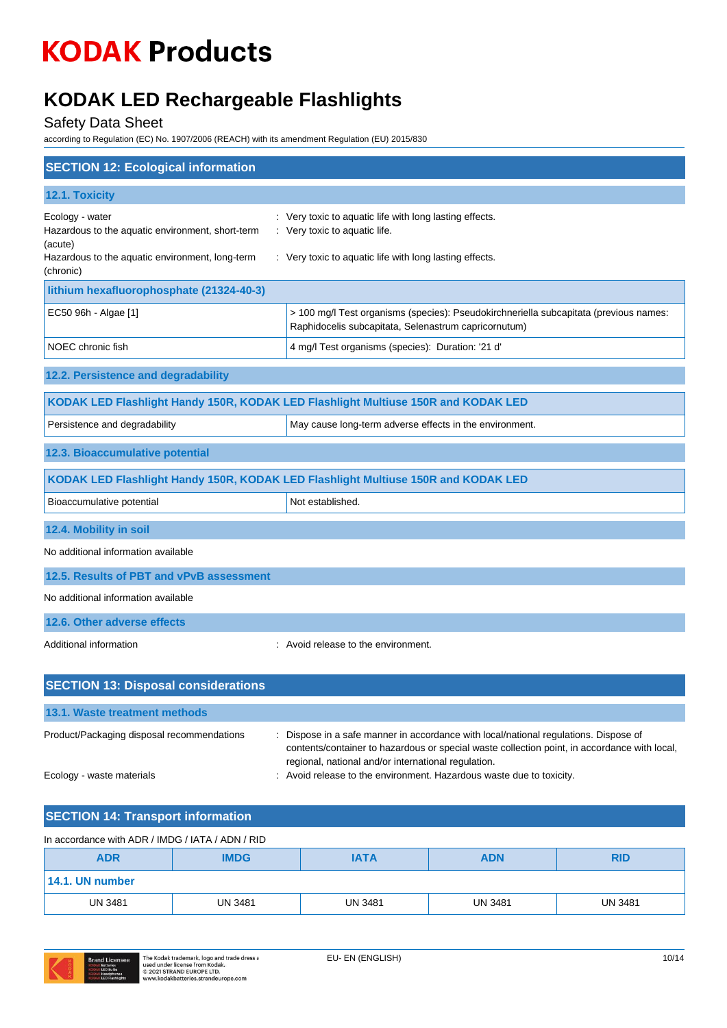### **KODAK LED Rechargeable Flashlights**

### Safety Data Sheet

according to Regulation (EC) No. 1907/2006 (REACH) with its amendment Regulation (EU) 2015/830

| <b>SECTION 12: Ecological information</b>                                                                                                      |                                                                                                                                                                                                                                                                                                                   |
|------------------------------------------------------------------------------------------------------------------------------------------------|-------------------------------------------------------------------------------------------------------------------------------------------------------------------------------------------------------------------------------------------------------------------------------------------------------------------|
| 12.1. Toxicity                                                                                                                                 |                                                                                                                                                                                                                                                                                                                   |
| Ecology - water<br>Hazardous to the aquatic environment, short-term<br>(acute)<br>Hazardous to the aquatic environment, long-term<br>(chronic) | : Very toxic to aquatic life with long lasting effects.<br>: Very toxic to aquatic life.<br>: Very toxic to aquatic life with long lasting effects.                                                                                                                                                               |
| lithium hexafluorophosphate (21324-40-3)                                                                                                       |                                                                                                                                                                                                                                                                                                                   |
| EC50 96h - Algae [1]                                                                                                                           | > 100 mg/l Test organisms (species): Pseudokirchneriella subcapitata (previous names:<br>Raphidocelis subcapitata, Selenastrum capricornutum)                                                                                                                                                                     |
| NOEC chronic fish                                                                                                                              | 4 mg/l Test organisms (species): Duration: '21 d'                                                                                                                                                                                                                                                                 |
| 12.2. Persistence and degradability                                                                                                            |                                                                                                                                                                                                                                                                                                                   |
|                                                                                                                                                | KODAK LED Flashlight Handy 150R, KODAK LED Flashlight Multiuse 150R and KODAK LED                                                                                                                                                                                                                                 |
| Persistence and degradability                                                                                                                  | May cause long-term adverse effects in the environment.                                                                                                                                                                                                                                                           |
| 12.3. Bioaccumulative potential                                                                                                                |                                                                                                                                                                                                                                                                                                                   |
|                                                                                                                                                | KODAK LED Flashlight Handy 150R, KODAK LED Flashlight Multiuse 150R and KODAK LED                                                                                                                                                                                                                                 |
| Bioaccumulative potential                                                                                                                      | Not established.                                                                                                                                                                                                                                                                                                  |
| 12.4. Mobility in soil                                                                                                                         |                                                                                                                                                                                                                                                                                                                   |
| No additional information available                                                                                                            |                                                                                                                                                                                                                                                                                                                   |
| 12.5. Results of PBT and vPvB assessment                                                                                                       |                                                                                                                                                                                                                                                                                                                   |
| No additional information available                                                                                                            |                                                                                                                                                                                                                                                                                                                   |
| 12.6. Other adverse effects                                                                                                                    |                                                                                                                                                                                                                                                                                                                   |
| Additional information                                                                                                                         | Avoid release to the environment.                                                                                                                                                                                                                                                                                 |
| <b>SECTION 13: Disposal considerations</b>                                                                                                     |                                                                                                                                                                                                                                                                                                                   |
| 13.1. Waste treatment methods                                                                                                                  |                                                                                                                                                                                                                                                                                                                   |
| Product/Packaging disposal recommendations<br>Ecology - waste materials                                                                        | Dispose in a safe manner in accordance with local/national regulations. Dispose of<br>contents/container to hazardous or special waste collection point, in accordance with local,<br>regional, national and/or international regulation.<br>: Avoid release to the environment. Hazardous waste due to toxicity. |
|                                                                                                                                                |                                                                                                                                                                                                                                                                                                                   |
| <b>SECTION 14: Transport information</b>                                                                                                       |                                                                                                                                                                                                                                                                                                                   |

| In accordance with ADR / IMDG / IATA / ADN / RID                     |                |                |                |                |
|----------------------------------------------------------------------|----------------|----------------|----------------|----------------|
| <b>IMDG</b><br><b>ADR</b><br><b>ADN</b><br><b>RID</b><br><b>IATA</b> |                |                |                |                |
| 14.1. UN number                                                      |                |                |                |                |
| <b>UN 3481</b>                                                       | <b>UN 3481</b> | <b>UN 3481</b> | <b>UN 3481</b> | <b>UN 3481</b> |

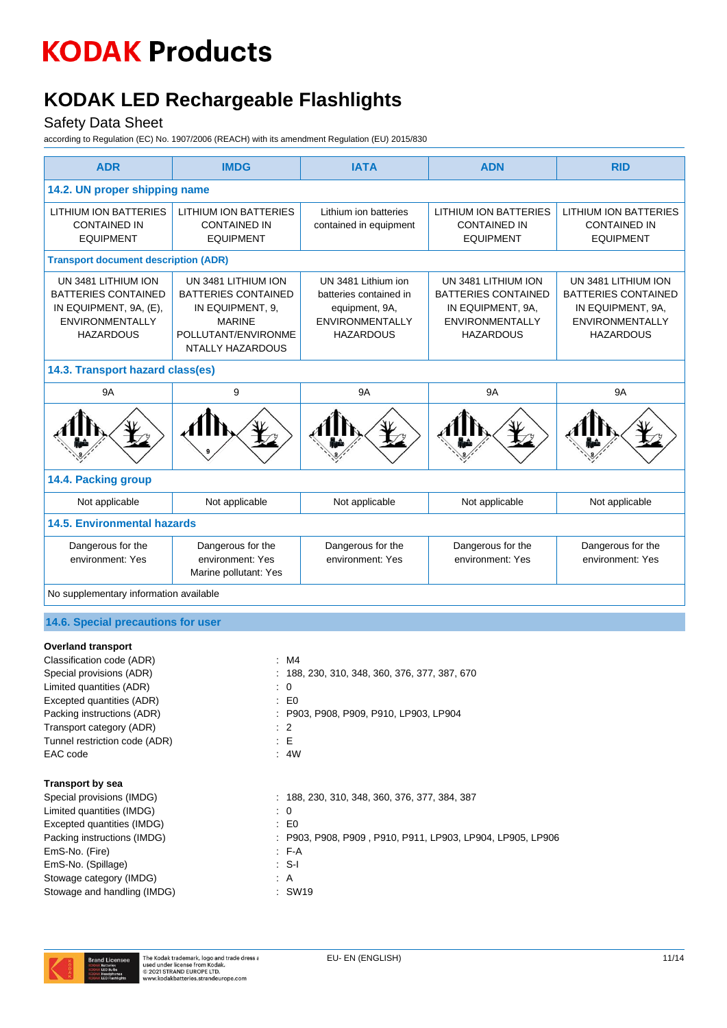### **KODAK LED Rechargeable Flashlights**

#### Safety Data Sheet

according to Regulation (EC) No. 1907/2006 (REACH) with its amendment Regulation (EU) 2015/830

| <b>ADR</b>                                                                                                                | <b>IMDG</b>                                                                                                                              | <b>IATA</b>                                                                                                   | <b>ADN</b>                                                                                                           | <b>RID</b>                                                                                                           |
|---------------------------------------------------------------------------------------------------------------------------|------------------------------------------------------------------------------------------------------------------------------------------|---------------------------------------------------------------------------------------------------------------|----------------------------------------------------------------------------------------------------------------------|----------------------------------------------------------------------------------------------------------------------|
| 14.2. UN proper shipping name                                                                                             |                                                                                                                                          |                                                                                                               |                                                                                                                      |                                                                                                                      |
| <b>LITHIUM ION BATTERIES</b><br><b>CONTAINED IN</b><br><b>EQUIPMENT</b>                                                   | <b>LITHIUM ION BATTERIES</b><br><b>CONTAINED IN</b><br><b>EQUIPMENT</b>                                                                  | Lithium ion batteries<br>contained in equipment                                                               | <b>LITHIUM ION BATTERIES</b><br><b>CONTAINED IN</b><br><b>EQUIPMENT</b>                                              | <b>LITHIUM ION BATTERIES</b><br><b>CONTAINED IN</b><br><b>EQUIPMENT</b>                                              |
| <b>Transport document description (ADR)</b>                                                                               |                                                                                                                                          |                                                                                                               |                                                                                                                      |                                                                                                                      |
| UN 3481 LITHIUM ION<br><b>BATTERIES CONTAINED</b><br>IN EQUIPMENT, 9A, (E),<br><b>ENVIRONMENTALLY</b><br><b>HAZARDOUS</b> | UN 3481 LITHIUM ION<br><b>BATTERIES CONTAINED</b><br>IN EQUIPMENT, 9,<br><b>MARINE</b><br>POLLUTANT/ENVIRONME<br><b>NTALLY HAZARDOUS</b> | UN 3481 Lithium ion<br>batteries contained in<br>equipment, 9A,<br><b>ENVIRONMENTALLY</b><br><b>HAZARDOUS</b> | UN 3481 LITHIUM ION<br><b>BATTERIES CONTAINED</b><br>IN EQUIPMENT, 9A,<br><b>ENVIRONMENTALLY</b><br><b>HAZARDOUS</b> | UN 3481 LITHIUM ION<br><b>BATTERIES CONTAINED</b><br>IN EQUIPMENT, 9A,<br><b>ENVIRONMENTALLY</b><br><b>HAZARDOUS</b> |
| 14.3. Transport hazard class(es)                                                                                          |                                                                                                                                          |                                                                                                               |                                                                                                                      |                                                                                                                      |
| <b>9A</b>                                                                                                                 | 9                                                                                                                                        | <b>9A</b>                                                                                                     | <b>9A</b>                                                                                                            | <b>9A</b>                                                                                                            |
|                                                                                                                           |                                                                                                                                          |                                                                                                               |                                                                                                                      |                                                                                                                      |
| 14.4. Packing group                                                                                                       |                                                                                                                                          |                                                                                                               |                                                                                                                      |                                                                                                                      |
| Not applicable                                                                                                            | Not applicable                                                                                                                           | Not applicable                                                                                                | Not applicable                                                                                                       | Not applicable                                                                                                       |
| <b>14.5. Environmental hazards</b>                                                                                        |                                                                                                                                          |                                                                                                               |                                                                                                                      |                                                                                                                      |
| Dangerous for the<br>environment: Yes                                                                                     | Dangerous for the<br>environment: Yes<br>Marine pollutant: Yes                                                                           | Dangerous for the<br>environment: Yes                                                                         | Dangerous for the<br>environment: Yes                                                                                | Dangerous for the<br>environment: Yes                                                                                |
| No supplementary information available                                                                                    |                                                                                                                                          |                                                                                                               |                                                                                                                      |                                                                                                                      |
| 14.6. Special precautions for user                                                                                        |                                                                                                                                          |                                                                                                               |                                                                                                                      |                                                                                                                      |

#### **Overland transport**

| Classification code (ADR)     | :M4                                                        |
|-------------------------------|------------------------------------------------------------|
| Special provisions (ADR)      | : 188, 230, 310, 348, 360, 376, 377, 387, 670              |
| Limited quantities (ADR)      | $\colon 0$                                                 |
| Excepted quantities (ADR)     | $\mathsf{E} \mathsf{D}$                                    |
| Packing instructions (ADR)    | : P903, P908, P909, P910, LP903, LP904                     |
| Transport category (ADR)      | $\therefore$ 2                                             |
| Tunnel restriction code (ADR) | : E                                                        |
| EAC code                      | : 4W                                                       |
| <b>Transport by sea</b>       |                                                            |
| Special provisions (IMDG)     | $: 188, 230, 310, 348, 360, 376, 377, 384, 387$            |
| Limited quantities (IMDG)     | $\colon 0$                                                 |
| Excepted quantities (IMDG)    | $\mathbf{E}$ EQ                                            |
| Packing instructions (IMDG)   | : P903, P908, P909, P910, P911, LP903, LP904, LP905, LP906 |
| EmS-No. (Fire)                | $F-A$                                                      |
| EmS-No. (Spillage)            | ∶S-I                                                       |
| Stowage category (IMDG)       | : A                                                        |
| Stowage and handling (IMDG)   | : SW19                                                     |

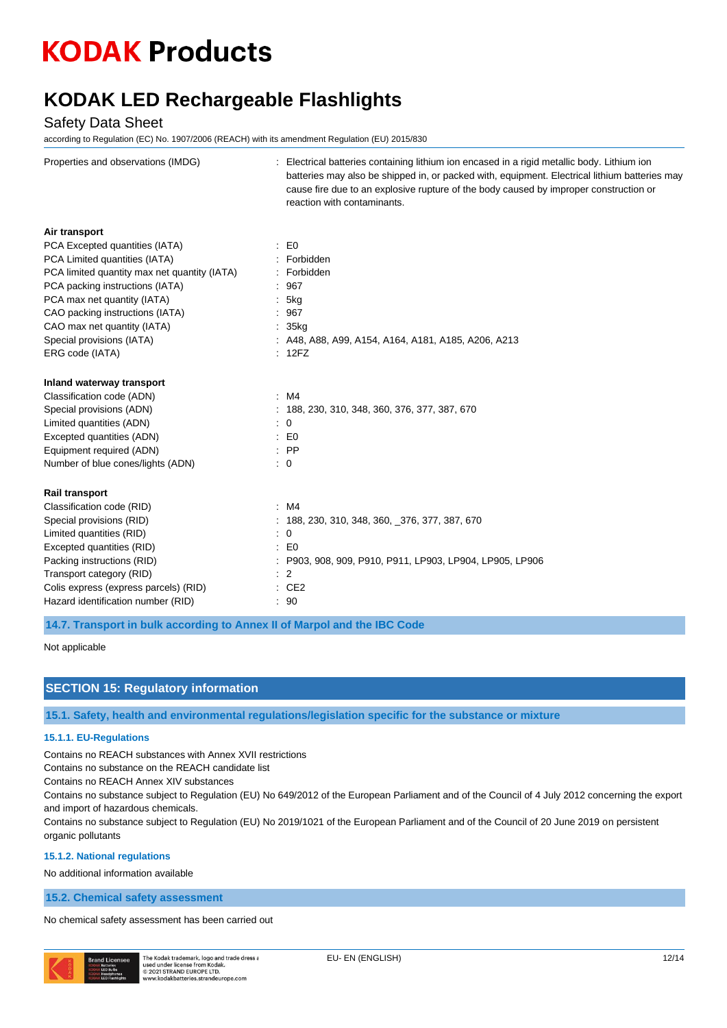### **KODAK LED Rechargeable Flashlights**

#### Safety Data Sheet

according to Regulation (EC) No. 1907/2006 (REACH) with its amendment Regulation (EU) 2015/830

| Properties and observations (IMDG)           | Electrical batteries containing lithium ion encased in a rigid metallic body. Lithium ion<br>batteries may also be shipped in, or packed with, equipment. Electrical lithium batteries may<br>cause fire due to an explosive rupture of the body caused by improper construction or<br>reaction with contaminants. |
|----------------------------------------------|--------------------------------------------------------------------------------------------------------------------------------------------------------------------------------------------------------------------------------------------------------------------------------------------------------------------|
| Air transport                                |                                                                                                                                                                                                                                                                                                                    |
| PCA Excepted quantities (IATA)               | $\therefore$ EO                                                                                                                                                                                                                                                                                                    |
| PCA Limited quantities (IATA)                | : Forbidden                                                                                                                                                                                                                                                                                                        |
| PCA limited quantity max net quantity (IATA) | : Forbidden                                                                                                                                                                                                                                                                                                        |
| PCA packing instructions (IATA)              | : 967                                                                                                                                                                                                                                                                                                              |
| PCA max net quantity (IATA)                  | 5kg                                                                                                                                                                                                                                                                                                                |
| CAO packing instructions (IATA)              | : 967                                                                                                                                                                                                                                                                                                              |
| CAO max net quantity (IATA)                  | : 35kg                                                                                                                                                                                                                                                                                                             |
| Special provisions (IATA)                    | : A48, A88, A99, A154, A164, A181, A185, A206, A213                                                                                                                                                                                                                                                                |
| ERG code (IATA)                              | : 12FZ                                                                                                                                                                                                                                                                                                             |
| Inland waterway transport                    |                                                                                                                                                                                                                                                                                                                    |
| Classification code (ADN)                    | :M4                                                                                                                                                                                                                                                                                                                |
| Special provisions (ADN)                     | : 188, 230, 310, 348, 360, 376, 377, 387, 670                                                                                                                                                                                                                                                                      |
| Limited quantities (ADN)                     | $\colon 0$                                                                                                                                                                                                                                                                                                         |
| Excepted quantities (ADN)                    | $\therefore$ EO                                                                                                                                                                                                                                                                                                    |
| Equipment required (ADN)                     | $:$ PP                                                                                                                                                                                                                                                                                                             |
| Number of blue cones/lights (ADN)            | $\colon 0$                                                                                                                                                                                                                                                                                                         |
| Rail transport                               |                                                                                                                                                                                                                                                                                                                    |
| Classification code (RID)                    | :M4                                                                                                                                                                                                                                                                                                                |
| Special provisions (RID)                     | $: 188, 230, 310, 348, 360, 376, 377, 387, 670$                                                                                                                                                                                                                                                                    |
| Limited quantities (RID)                     | $\therefore$ 0                                                                                                                                                                                                                                                                                                     |
| Excepted quantities (RID)                    | $\therefore$ EO                                                                                                                                                                                                                                                                                                    |
| Packing instructions (RID)                   | : P903, 908, 909, P910, P911, LP903, LP904, LP905, LP906                                                                                                                                                                                                                                                           |
| Transport category (RID)                     | $\therefore$ 2                                                                                                                                                                                                                                                                                                     |
| Colis express (express parcels) (RID)        | : CE2                                                                                                                                                                                                                                                                                                              |
| Hazard identification number (RID)           | : 90                                                                                                                                                                                                                                                                                                               |

**14.7. Transport in bulk according to Annex II of Marpol and the IBC Code**

#### Not applicable

#### **SECTION 15: Regulatory information**

**15.1. Safety, health and environmental regulations/legislation specific for the substance or mixture**

#### **15.1.1. EU-Regulations**

Contains no REACH substances with Annex XVII restrictions

Contains no substance on the REACH candidate list

Contains no REACH Annex XIV substances

Contains no substance subject to Regulation (EU) No 649/2012 of the European Parliament and of the Council of 4 July 2012 concerning the export and import of hazardous chemicals.

Contains no substance subject to Regulation (EU) No 2019/1021 of the European Parliament and of the Council of 20 June 2019 on persistent organic pollutants

#### **15.1.2. National regulations**

No additional information available

**15.2. Chemical safety assessment**

No chemical safety assessment has been carried out

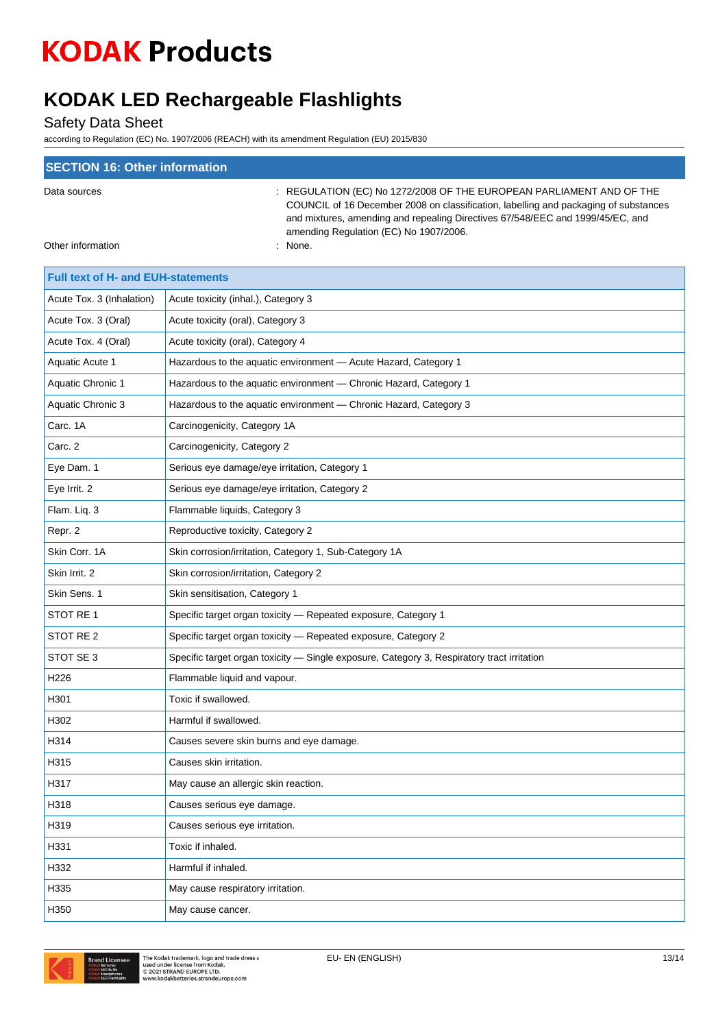### **KODAK LED Rechargeable Flashlights**

Safety Data Sheet

according to Regulation (EC) No. 1907/2006 (REACH) with its amendment Regulation (EU) 2015/830

| <b>SECTION 16: Other information</b> |                                                                                                                                                                                                                                                                                          |
|--------------------------------------|------------------------------------------------------------------------------------------------------------------------------------------------------------------------------------------------------------------------------------------------------------------------------------------|
| Data sources                         | : REGULATION (EC) No 1272/2008 OF THE EUROPEAN PARLIAMENT AND OF THE<br>COUNCIL of 16 December 2008 on classification, labelling and packaging of substances<br>and mixtures, amending and repealing Directives 67/548/EEC and 1999/45/EC, and<br>amending Regulation (EC) No 1907/2006. |
| Other information                    | : None.                                                                                                                                                                                                                                                                                  |

| <b>Full text of H- and EUH-statements</b> |                                                                                            |
|-------------------------------------------|--------------------------------------------------------------------------------------------|
| Acute Tox. 3 (Inhalation)                 | Acute toxicity (inhal.), Category 3                                                        |
| Acute Tox. 3 (Oral)                       | Acute toxicity (oral), Category 3                                                          |
| Acute Tox. 4 (Oral)                       | Acute toxicity (oral), Category 4                                                          |
| Aquatic Acute 1                           | Hazardous to the aquatic environment - Acute Hazard, Category 1                            |
| <b>Aquatic Chronic 1</b>                  | Hazardous to the aquatic environment - Chronic Hazard, Category 1                          |
| Aquatic Chronic 3                         | Hazardous to the aquatic environment - Chronic Hazard, Category 3                          |
| Carc. 1A                                  | Carcinogenicity, Category 1A                                                               |
| Carc. 2                                   | Carcinogenicity, Category 2                                                                |
| Eye Dam. 1                                | Serious eye damage/eye irritation, Category 1                                              |
| Eye Irrit. 2                              | Serious eye damage/eye irritation, Category 2                                              |
| Flam. Liq. 3                              | Flammable liquids, Category 3                                                              |
| Repr. 2                                   | Reproductive toxicity, Category 2                                                          |
| Skin Corr. 1A                             | Skin corrosion/irritation, Category 1, Sub-Category 1A                                     |
| Skin Irrit. 2                             | Skin corrosion/irritation, Category 2                                                      |
| Skin Sens. 1                              | Skin sensitisation, Category 1                                                             |
| STOT RE 1                                 | Specific target organ toxicity - Repeated exposure, Category 1                             |
| STOT RE <sub>2</sub>                      | Specific target organ toxicity - Repeated exposure, Category 2                             |
| STOT SE 3                                 | Specific target organ toxicity - Single exposure, Category 3, Respiratory tract irritation |
| H226                                      | Flammable liquid and vapour.                                                               |
| H301                                      | Toxic if swallowed.                                                                        |
| H302                                      | Harmful if swallowed.                                                                      |
| H314                                      | Causes severe skin burns and eye damage.                                                   |
| H315                                      | Causes skin irritation.                                                                    |
| H317                                      | May cause an allergic skin reaction.                                                       |
| H318                                      | Causes serious eye damage.                                                                 |
| H319                                      | Causes serious eye irritation.                                                             |
| H331                                      | Toxic if inhaled.                                                                          |
| H332                                      | Harmful if inhaled.                                                                        |
| H335                                      | May cause respiratory irritation.                                                          |
| H350                                      | May cause cancer.                                                                          |